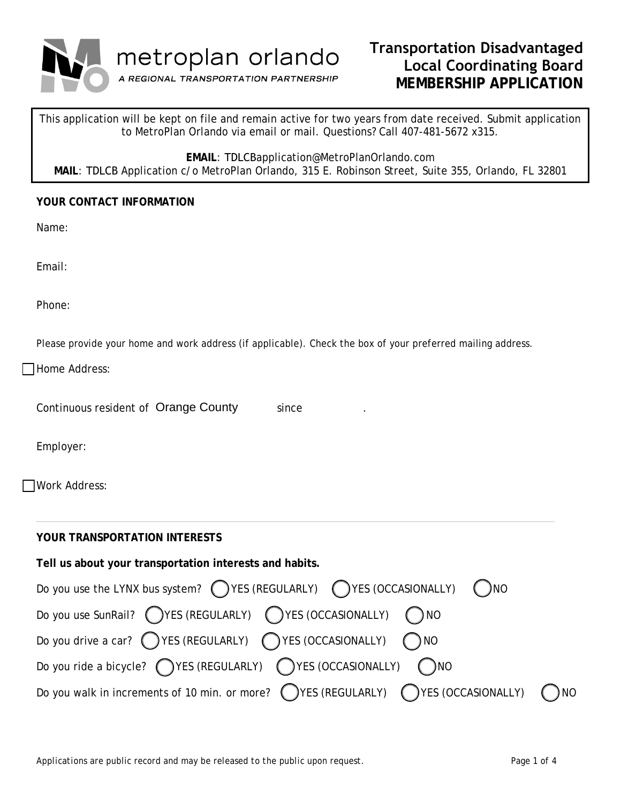

# **Transportation Disadvantaged Local Coordinating Board MEMBERSHIP APPLICATION**

This application will be kept on file and remain active for two years from date received. Submit application to MetroPlan Orlando via email or mail. Questions? Call 407-481-5672 x315.

**EMAIL**: TDLCBapplication@MetroPlanOrlando.com

**MAIL**: TDLCB Application c/o MetroPlan Orlando, 315 E. Robinson Street, Suite 355, Orlando, FL 32801

## **YOUR CONTACT INFORMATION**

Name:

Email:

Phone:

Please provide your home and work address (if applicable). Check the box of your preferred mailing address.

Home Address:

| Continuous resident of Orange County | since |  |
|--------------------------------------|-------|--|
|--------------------------------------|-------|--|

Employer:

Work Address:

| YOUR TRANSPORTATION INTERESTS                                                                       |
|-----------------------------------------------------------------------------------------------------|
| Tell us about your transportation interests and habits.                                             |
| Do you use the LYNX bus system? $\bigcap$ YES (REGULARLY) $\bigcap$ YES (OCCASIONALLY) $\bigcap$ NO |
| Do you use SunRail? (YES (REGULARLY) (YES (OCCASIONALLY) (NO                                        |
| Do you drive a car? $\bigcirc$ YES (REGULARLY) $\bigcirc$ YES (OCCASIONALLY) $\bigcirc$ NO          |
| Do you ride a bicycle? $\bigcap$ YES (REGULARLY) $\bigcap$ YES (OCCASIONALLY) $\bigcap$ NO          |
| Do you walk in increments of 10 min. or more? (VES (REGULARLY) (VES (OCCASIONALLY)<br>) NO          |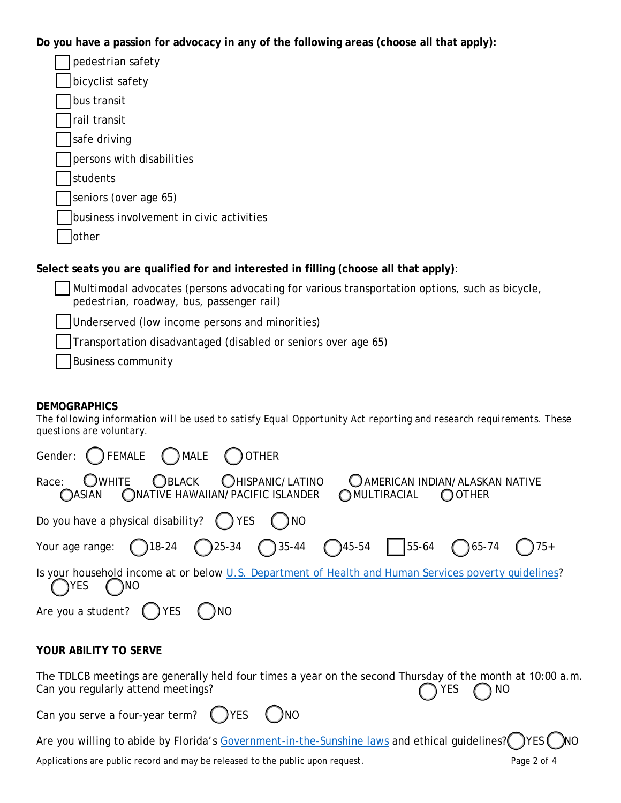**Do you have a passion for advocacy in any of the following areas (choose all that apply):**

| pedestrian safety                                                                |
|----------------------------------------------------------------------------------|
| bicyclist safety                                                                 |
| bus transit                                                                      |
| rail transit                                                                     |
| safe driving                                                                     |
| persons with disabilities                                                        |
| students                                                                         |
| seniors (over age 65)                                                            |
| business involvement in civic activities                                         |
| other                                                                            |
| elect seats vou are qualified for and interested in filling (choose all that apr |

## **Select seats you are qualified for and interested in filling (choose all that apply)**:

Multimodal advocates (persons advocating for various transportation options, such as bicycle, pedestrian, roadway, bus, passenger rail) Underserved (low income persons and minorities)

Transportation disadvantaged (disabled or seniors over age 65)

Business community

# **DEMOGRAPHICS**

*The following information will be used to satisfy Equal Opportunity Act reporting and research requirements. These questions are voluntary.*

| Gender: C FEMALE C MALE C OTHER                                                                                                                |
|------------------------------------------------------------------------------------------------------------------------------------------------|
| OWHITE OBLACK OHISPANIC/LATINO<br>C AMERICAN INDIAN/ALASKAN NATIVE<br>Race:<br>OASIAN ONATIVE HAWAIIAN/PACIFIC ISLANDER<br>OMULTIRACIAL OOTHER |
| Do you have a physical disability? $\bigcap$ YES $\bigcap$ NO                                                                                  |
| Your age range: (18-24 (25-34 ) 35-44 (45-54 ) 55-64 (65-74 ) 75+                                                                              |
| Is your household income at or below U.S. Department of Health and Human Services poverty guidelines?<br>YES)<br>$\bigcap$ NO                  |
| Are you a student? $\bigcap$ YES $\bigcap$ NO                                                                                                  |
| <b>YOUR ABILITY TO SERVE</b>                                                                                                                   |

| The TDLCB meetings are generally held four times a year on the second Thursday of the month at 10:00 a.m. |  |  |              |  |
|-----------------------------------------------------------------------------------------------------------|--|--|--------------|--|
| Can you regularly attend meetings?                                                                        |  |  | $OYES$ $ONO$ |  |
| Can you serve a four-year term? $\bigcap$ YES $\bigcap$ NO                                                |  |  |              |  |
|                                                                                                           |  |  |              |  |

Are you willing to abide by Florida's [Government-in-the-Sunshine laws](http://myfloridalegal.com/pages.nsf/Main/321B47083D80C4CD8525791B006A54E3) and ethical guidelines? () YES () NO

*Applications are public record and may be released to the public upon request. Page 2 of 4*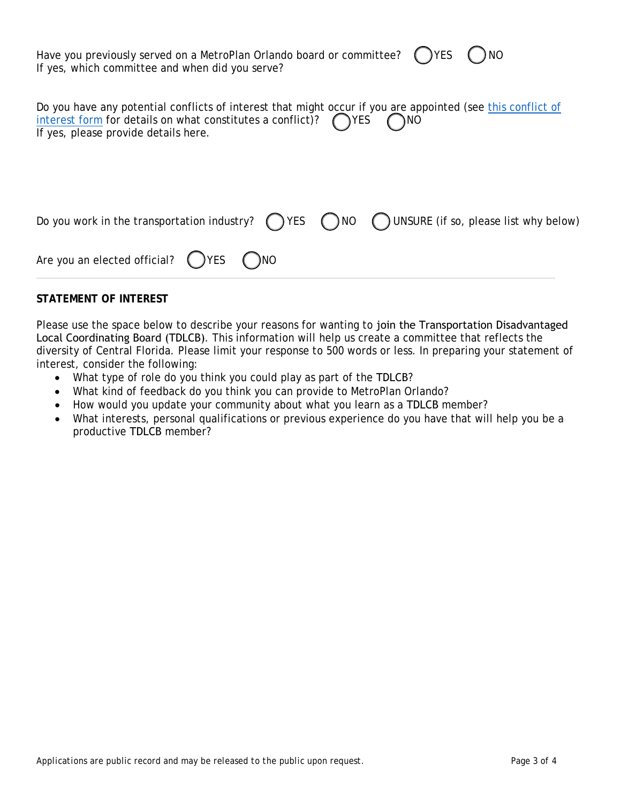| Have you previously served on a MetroPlan Orlando board or committee? $\bigcirc$ YES $\bigcirc$ NO |  |
|----------------------------------------------------------------------------------------------------|--|
| If yes, which committee and when did you serve?                                                    |  |

| Do you have any potential conflicts of interest that might occur if you are appointed (see this conflict of |  |
|-------------------------------------------------------------------------------------------------------------|--|
| interest form for details on what constitutes a conflict)? $\bigcap$ YES $\bigcap$ NO                       |  |
| If yes, please provide details here.                                                                        |  |

|                                                           |  | Do you work in the transportation industry? $\bigcirc$ YES $\bigcirc$ NO $\bigcirc$ UNSURE (if so, please list why below) |
|-----------------------------------------------------------|--|---------------------------------------------------------------------------------------------------------------------------|
| Are you an elected official? $\bigcirc$ YES $\bigcirc$ NO |  |                                                                                                                           |

### **STATEMENT OF INTEREST**

Please use the space below to describe your reasons for wanting to join the Transportation Disadvantaged Local Coordinating Board (TDLCB). This information will help us create a committee that reflects the diversity of Central Florida. Please limit your response to 500 words or less. In preparing your statement of interest, consider the following:

- What type of role do you think you could play as part of the TDLCB?
- What kind of feedback do you think you can provide to MetroPlan Orlando?
- How would you update your community about what you learn as a TDLCB member?
- What interests, personal qualifications or previous experience do you have that will help you be a productive TDLCB member?